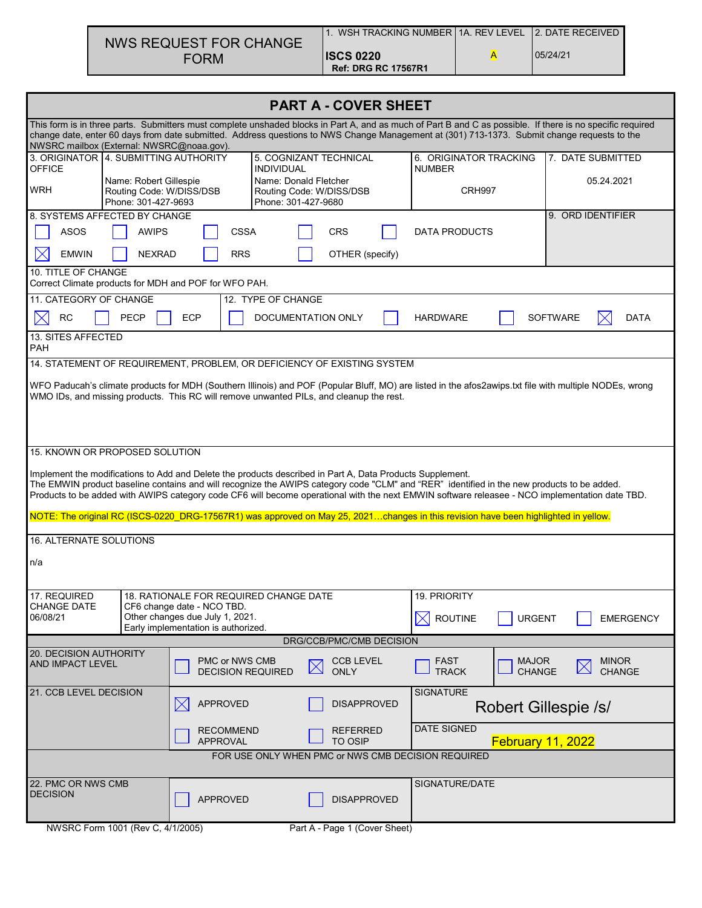|                        | WSH TRACKING NUMBER 11A. REV LEVEL 12. DATE RECEIVED |          |
|------------------------|------------------------------------------------------|----------|
| NWS REQUEST FOR CHANGE |                                                      |          |
| <b>FORM</b>            | <b>ISCS 0220</b>                                     | 05/24/21 |
|                        | <b>Ref: DRG RC 17567R1</b>                           |          |

| <b>PART A - COVER SHEET</b>                                                                                                                                                                                                                                                                                                                            |                                                                           |                                                                                                           |                     |                                                   |                          |                                                                                                                                                                                                                                                                                   |                               |                                                                                                                                                         |  |  |  |
|--------------------------------------------------------------------------------------------------------------------------------------------------------------------------------------------------------------------------------------------------------------------------------------------------------------------------------------------------------|---------------------------------------------------------------------------|-----------------------------------------------------------------------------------------------------------|---------------------|---------------------------------------------------|--------------------------|-----------------------------------------------------------------------------------------------------------------------------------------------------------------------------------------------------------------------------------------------------------------------------------|-------------------------------|---------------------------------------------------------------------------------------------------------------------------------------------------------|--|--|--|
| This form is in three parts. Submitters must complete unshaded blocks in Part A, and as much of Part B and C as possible. If there is no specific required<br>change date, enter 60 days from date submitted. Address questions to NWS Change Management at (301) 713-1373. Submit change requests to the<br>NWSRC mailbox (External: NWSRC@noaa.gov). |                                                                           |                                                                                                           |                     |                                                   |                          |                                                                                                                                                                                                                                                                                   |                               |                                                                                                                                                         |  |  |  |
| 3. ORIGINATOR 4. SUBMITTING AUTHORITY<br><b>OFFICE</b>                                                                                                                                                                                                                                                                                                 |                                                                           |                                                                                                           | <b>INDIVIDUAL</b>   | 5. COGNIZANT TECHNICAL                            |                          | 6. ORIGINATOR TRACKING<br><b>NUMBER</b>                                                                                                                                                                                                                                           |                               | 7. DATE SUBMITTED                                                                                                                                       |  |  |  |
| <b>WRH</b>                                                                                                                                                                                                                                                                                                                                             | Name: Robert Gillespie<br>Routing Code: W/DISS/DSB<br>Phone: 301-427-9693 |                                                                                                           | Phone: 301-427-9680 | Name: Donald Fletcher<br>Routing Code: W/DISS/DSB |                          | <b>CRH997</b>                                                                                                                                                                                                                                                                     |                               | 05.24.2021                                                                                                                                              |  |  |  |
|                                                                                                                                                                                                                                                                                                                                                        | 9. ORD IDENTIFIER<br>8. SYSTEMS AFFECTED BY CHANGE                        |                                                                                                           |                     |                                                   |                          |                                                                                                                                                                                                                                                                                   |                               |                                                                                                                                                         |  |  |  |
| <b>ASOS</b><br><b>AWIPS</b><br>CSSA<br><b>CRS</b><br><b>DATA PRODUCTS</b>                                                                                                                                                                                                                                                                              |                                                                           |                                                                                                           |                     |                                                   |                          |                                                                                                                                                                                                                                                                                   |                               |                                                                                                                                                         |  |  |  |
| <b>EMWIN</b><br>10. TITLE OF CHANGE                                                                                                                                                                                                                                                                                                                    | <b>NEXRAD</b>                                                             | <b>RRS</b>                                                                                                |                     | OTHER (specify)                                   |                          |                                                                                                                                                                                                                                                                                   |                               |                                                                                                                                                         |  |  |  |
|                                                                                                                                                                                                                                                                                                                                                        |                                                                           | Correct Climate products for MDH and POF for WFO PAH.                                                     |                     |                                                   |                          |                                                                                                                                                                                                                                                                                   |                               |                                                                                                                                                         |  |  |  |
| 11. CATEGORY OF CHANGE                                                                                                                                                                                                                                                                                                                                 |                                                                           |                                                                                                           | 12. TYPE OF CHANGE  |                                                   |                          |                                                                                                                                                                                                                                                                                   |                               |                                                                                                                                                         |  |  |  |
| <b>RC</b>                                                                                                                                                                                                                                                                                                                                              | <b>PECP</b>                                                               | <b>ECP</b>                                                                                                |                     | DOCUMENTATION ONLY                                |                          | <b>HARDWARE</b>                                                                                                                                                                                                                                                                   |                               | <b>SOFTWARE</b><br>DATA                                                                                                                                 |  |  |  |
| 13. SITES AFFECTED<br>PAH                                                                                                                                                                                                                                                                                                                              |                                                                           |                                                                                                           |                     |                                                   |                          |                                                                                                                                                                                                                                                                                   |                               |                                                                                                                                                         |  |  |  |
|                                                                                                                                                                                                                                                                                                                                                        |                                                                           | 14. STATEMENT OF REQUIREMENT, PROBLEM, OR DEFICIENCY OF EXISTING SYSTEM                                   |                     |                                                   |                          |                                                                                                                                                                                                                                                                                   |                               |                                                                                                                                                         |  |  |  |
|                                                                                                                                                                                                                                                                                                                                                        |                                                                           | WMO IDs, and missing products. This RC will remove unwanted PILs, and cleanup the rest.                   |                     |                                                   |                          |                                                                                                                                                                                                                                                                                   |                               | WFO Paducah's climate products for MDH (Southern Illinois) and POF (Popular Bluff, MO) are listed in the afos2awips.txt file with multiple NODEs, wrong |  |  |  |
| 15. KNOWN OR PROPOSED SOLUTION                                                                                                                                                                                                                                                                                                                         |                                                                           |                                                                                                           |                     |                                                   |                          |                                                                                                                                                                                                                                                                                   |                               |                                                                                                                                                         |  |  |  |
|                                                                                                                                                                                                                                                                                                                                                        |                                                                           | Implement the modifications to Add and Delete the products described in Part A, Data Products Supplement. |                     |                                                   |                          | The EMWIN product baseline contains and will recognize the AWIPS category code "CLM" and "RER" identified in the new products to be added.<br>NOTE: The original RC (ISCS-0220 DRG-17567R1) was approved on May 25, 2021changes in this revision have been highlighted in yellow. |                               | Products to be added with AWIPS category code CF6 will become operational with the next EMWIN software releasee - NCO implementation date TBD.          |  |  |  |
| 16. ALTERNATE SOLUTIONS                                                                                                                                                                                                                                                                                                                                |                                                                           |                                                                                                           |                     |                                                   |                          |                                                                                                                                                                                                                                                                                   |                               |                                                                                                                                                         |  |  |  |
| n/a                                                                                                                                                                                                                                                                                                                                                    |                                                                           |                                                                                                           |                     |                                                   |                          |                                                                                                                                                                                                                                                                                   |                               |                                                                                                                                                         |  |  |  |
| 17. REQUIRED                                                                                                                                                                                                                                                                                                                                           |                                                                           | 18. RATIONALE FOR REQUIRED CHANGE DATE                                                                    |                     |                                                   |                          | 19. PRIORITY                                                                                                                                                                                                                                                                      |                               |                                                                                                                                                         |  |  |  |
| CHANGE DATE<br>06/08/21                                                                                                                                                                                                                                                                                                                                |                                                                           | CF6 change date - NCO TBD.<br>Other changes due July 1, 2021.<br>Early implementation is authorized.      |                     |                                                   |                          | $\boxtimes$<br><b>ROUTINE</b>                                                                                                                                                                                                                                                     | <b>URGENT</b>                 | <b>EMERGENCY</b>                                                                                                                                        |  |  |  |
| DRG/CCB/PMC/CMB DECISION                                                                                                                                                                                                                                                                                                                               |                                                                           |                                                                                                           |                     |                                                   |                          |                                                                                                                                                                                                                                                                                   |                               |                                                                                                                                                         |  |  |  |
| 20. DECISION AUTHORITY<br>AND IMPACT LEVEL                                                                                                                                                                                                                                                                                                             |                                                                           | PMC or NWS CMB<br><b>DECISION REQUIRED</b>                                                                |                     | <b>CCB LEVEL</b><br>$\boxtimes$<br><b>ONLY</b>    |                          | FAST<br><b>TRACK</b>                                                                                                                                                                                                                                                              | <b>MAJOR</b><br><b>CHANGE</b> | <b>MINOR</b><br>CHANGE                                                                                                                                  |  |  |  |
| 21. CCB LEVEL DECISION<br><b>SIGNATURE</b><br><b>APPROVED</b><br><b>DISAPPROVED</b><br>Robert Gillespie /s/                                                                                                                                                                                                                                            |                                                                           |                                                                                                           |                     |                                                   |                          |                                                                                                                                                                                                                                                                                   |                               |                                                                                                                                                         |  |  |  |
| <b>RECOMMEND</b><br><b>REFERRED</b><br><b>APPROVAL</b><br><b>TO OSIP</b>                                                                                                                                                                                                                                                                               |                                                                           |                                                                                                           |                     | <b>DATE SIGNED</b>                                | <b>February 11, 2022</b> |                                                                                                                                                                                                                                                                                   |                               |                                                                                                                                                         |  |  |  |
| FOR USE ONLY WHEN PMC or NWS CMB DECISION REQUIRED                                                                                                                                                                                                                                                                                                     |                                                                           |                                                                                                           |                     |                                                   |                          |                                                                                                                                                                                                                                                                                   |                               |                                                                                                                                                         |  |  |  |
| 22. PMC OR NWS CMB<br><b>DECISION</b>                                                                                                                                                                                                                                                                                                                  |                                                                           | <b>APPROVED</b>                                                                                           |                     | <b>DISAPPROVED</b>                                |                          | SIGNATURE/DATE                                                                                                                                                                                                                                                                    |                               |                                                                                                                                                         |  |  |  |
| NWSRC Form 1001 (Rev C, 4/1/2005)                                                                                                                                                                                                                                                                                                                      |                                                                           |                                                                                                           |                     | Part A - Page 1 (Cover Sheet)                     |                          |                                                                                                                                                                                                                                                                                   |                               |                                                                                                                                                         |  |  |  |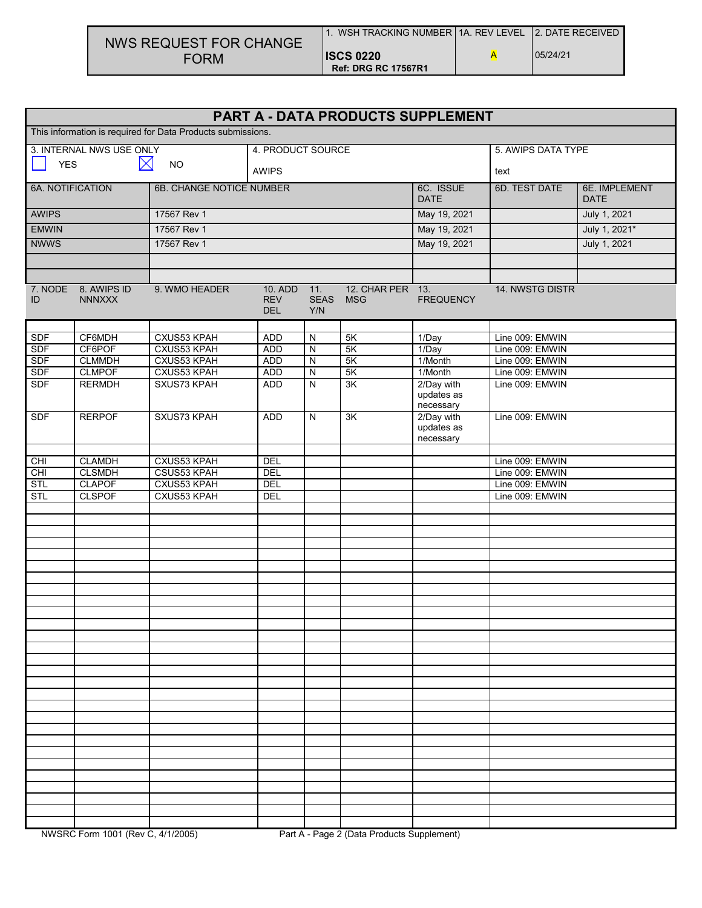| NWS REQUEST FOR CHANGE | √ WSH TRACKING NUMBER   1A. REV LEVEL Ⅰ2. DATE RECEIVED |          |
|------------------------|---------------------------------------------------------|----------|
| <b>FORM</b>            | <b>ISCS 0220</b><br><b>Ref: DRG RC 17567R1</b>          | 05/24/21 |

| PART A - DATA PRODUCTS SUPPLEMENT                           |                                      |                    |                                     |                           |                                |                                       |                    |                       |
|-------------------------------------------------------------|--------------------------------------|--------------------|-------------------------------------|---------------------------|--------------------------------|---------------------------------------|--------------------|-----------------------|
| This information is required for Data Products submissions. |                                      |                    |                                     |                           |                                |                                       |                    |                       |
|                                                             | 3. INTERNAL NWS USE ONLY             |                    | 4. PRODUCT SOURCE                   |                           |                                |                                       | 5. AWIPS DATA TYPE |                       |
| $\boxtimes$<br><b>YES</b><br><b>NO</b>                      |                                      |                    | <b>AWIPS</b>                        |                           |                                |                                       | text               |                       |
| 6A. NOTIFICATION<br>6B. CHANGE NOTICE NUMBER                |                                      |                    |                                     | 6C. ISSUE<br><b>DATE</b>  |                                |                                       | 6D. TEST DATE      | 6E. IMPLEMENT<br>DATE |
| <b>AWIPS</b><br>17567 Rev 1                                 |                                      |                    | May 19, 2021                        |                           | July 1, 2021                   |                                       |                    |                       |
| <b>EMWIN</b>                                                |                                      | 17567 Rev 1        |                                     |                           |                                | May 19, 2021                          |                    | July 1, 2021*         |
| <b>NWWS</b>                                                 |                                      | 17567 Rev 1        |                                     |                           |                                | May 19, 2021                          |                    | July 1, 2021          |
|                                                             |                                      |                    |                                     |                           |                                |                                       |                    |                       |
|                                                             |                                      |                    |                                     |                           |                                |                                       |                    |                       |
| ID                                                          | 7. NODE 8. AWIPS ID<br><b>NNNXXX</b> | 9. WMO HEADER      | 10. ADD<br><b>REV</b><br><b>DEL</b> | 11.<br><b>SEAS</b><br>Y/N | 12. CHAR PER 13.<br><b>MSG</b> | <b>FREQUENCY</b>                      | 14. NWSTG DISTR    |                       |
| <b>SDF</b>                                                  | CF6MDH                               | CXUS53 KPAH        | <b>ADD</b>                          | $\mathsf{N}$              | 5K                             | 1/Day                                 | Line 009: EMWIN    |                       |
| <b>SDF</b>                                                  | CF6POF                               | CXUS53 KPAH        | <b>ADD</b>                          | $\overline{N}$            | 5K                             | 1/Day                                 | Line 009: EMWIN    |                       |
| <b>SDF</b>                                                  | <b>CLMMDH</b>                        | <b>CXUS53 KPAH</b> | <b>ADD</b>                          | $\overline{\mathsf{N}}$   | 5K                             | 1/Month                               | Line 009: EMWIN    |                       |
| <b>SDF</b>                                                  | <b>CLMPOF</b>                        | <b>CXUS53 KPAH</b> | <b>ADD</b>                          | $\overline{N}$            | 5K                             | 1/Month                               | Line 009: EMWIN    |                       |
| <b>SDF</b>                                                  | <b>RERMDH</b>                        | SXUS73 KPAH        | <b>ADD</b>                          | $\overline{N}$            | 3K                             | 2/Day with<br>updates as<br>necessary | Line 009: EMWIN    |                       |
| <b>SDF</b>                                                  | <b>RERPOF</b>                        | SXUS73 KPAH        | <b>ADD</b>                          | N                         | $\overline{\mathsf{3K}}$       | 2/Day with<br>updates as<br>necessary | Line 009: EMWIN    |                       |
| <b>CHI</b>                                                  | <b>CLAMDH</b>                        | <b>CXUS53 KPAH</b> | DEL                                 |                           |                                |                                       | Line 009: EMWIN    |                       |
| CHI                                                         | <b>CLSMDH</b>                        | <b>CSUS53 KPAH</b> | DEL                                 |                           |                                |                                       | Line 009: EMWIN    |                       |
| STL                                                         | <b>CLAPOF</b>                        | CXUS53 KPAH        | DEL                                 |                           |                                |                                       | Line 009: EMWIN    |                       |
| <b>STL</b>                                                  | <b>CLSPOF</b>                        | <b>CXUS53 KPAH</b> | DEL                                 |                           |                                |                                       | Line 009: EMWIN    |                       |
|                                                             |                                      |                    |                                     |                           |                                |                                       |                    |                       |
|                                                             |                                      |                    |                                     |                           |                                |                                       |                    |                       |
|                                                             |                                      |                    |                                     |                           |                                |                                       |                    |                       |
|                                                             |                                      |                    |                                     |                           |                                |                                       |                    |                       |
|                                                             |                                      |                    |                                     |                           |                                |                                       |                    |                       |
|                                                             |                                      |                    |                                     |                           |                                |                                       |                    |                       |
|                                                             |                                      |                    |                                     |                           |                                |                                       |                    |                       |
|                                                             |                                      |                    |                                     |                           |                                |                                       |                    |                       |
|                                                             |                                      |                    |                                     |                           |                                |                                       |                    |                       |
|                                                             |                                      |                    |                                     |                           |                                |                                       |                    |                       |
|                                                             |                                      |                    |                                     |                           |                                |                                       |                    |                       |
|                                                             |                                      |                    |                                     |                           |                                |                                       |                    |                       |
|                                                             |                                      |                    |                                     |                           |                                |                                       |                    |                       |
|                                                             |                                      |                    |                                     |                           |                                |                                       |                    |                       |
|                                                             |                                      |                    |                                     |                           |                                |                                       |                    |                       |
|                                                             |                                      |                    |                                     |                           |                                |                                       |                    |                       |
|                                                             |                                      |                    |                                     |                           |                                |                                       |                    |                       |
|                                                             |                                      |                    |                                     |                           |                                |                                       |                    |                       |
|                                                             |                                      |                    |                                     |                           |                                |                                       |                    |                       |
|                                                             |                                      |                    |                                     |                           |                                |                                       |                    |                       |
|                                                             |                                      |                    |                                     |                           |                                |                                       |                    |                       |
|                                                             |                                      |                    |                                     |                           |                                |                                       |                    |                       |
|                                                             | $11100005$ $(0.01100005)$            |                    |                                     |                           | P: A, P, P: B, I, Q, I         |                                       |                    |                       |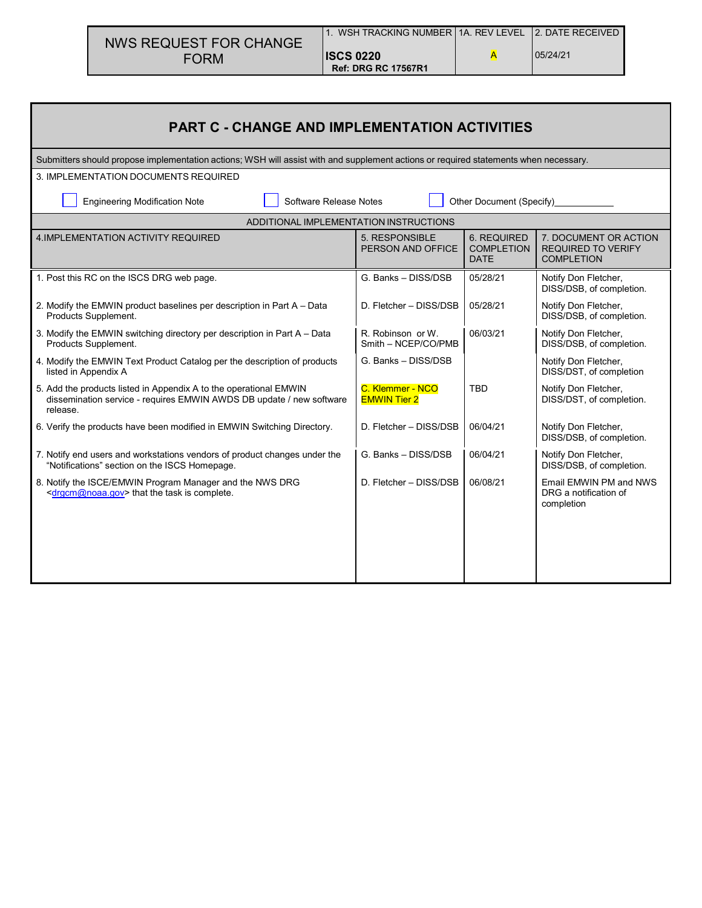|                                                                                                                          | <b>NWS REQUEST FOR CHANGE</b>                                                                                                             |  | 1. WSH TRACKING NUMBER   1A. REV LEVEL         |                                                 | <b>2. DATE RECEIVED</b>                                                 |  |  |  |  |  |
|--------------------------------------------------------------------------------------------------------------------------|-------------------------------------------------------------------------------------------------------------------------------------------|--|------------------------------------------------|-------------------------------------------------|-------------------------------------------------------------------------|--|--|--|--|--|
|                                                                                                                          | <b>FORM</b>                                                                                                                               |  | <b>ISCS 0220</b><br><b>Ref: DRG RC 17567R1</b> | A                                               | 05/24/21                                                                |  |  |  |  |  |
|                                                                                                                          |                                                                                                                                           |  |                                                |                                                 |                                                                         |  |  |  |  |  |
|                                                                                                                          | <b>PART C - CHANGE AND IMPLEMENTATION ACTIVITIES</b>                                                                                      |  |                                                |                                                 |                                                                         |  |  |  |  |  |
|                                                                                                                          | Submitters should propose implementation actions; WSH will assist with and supplement actions or required statements when necessary.      |  |                                                |                                                 |                                                                         |  |  |  |  |  |
|                                                                                                                          | 3. IMPLEMENTATION DOCUMENTS REQUIRED                                                                                                      |  |                                                |                                                 |                                                                         |  |  |  |  |  |
|                                                                                                                          | Software Release Notes<br><b>Engineering Modification Note</b>                                                                            |  |                                                | Other Document (Specify)                        |                                                                         |  |  |  |  |  |
|                                                                                                                          |                                                                                                                                           |  | ADDITIONAL IMPLEMENTATION INSTRUCTIONS         |                                                 |                                                                         |  |  |  |  |  |
|                                                                                                                          | 4. IMPLEMENTATION ACTIVITY REQUIRED                                                                                                       |  | 5. RESPONSIBLE<br>PERSON AND OFFICE            | <b>6. REQUIRED</b><br><b>COMPLETION</b><br>DATE | 7. DOCUMENT OR ACTION<br><b>REQUIRED TO VERIFY</b><br><b>COMPLETION</b> |  |  |  |  |  |
|                                                                                                                          | 1. Post this RC on the ISCS DRG web page.                                                                                                 |  | G. Banks - DISS/DSB                            | 05/28/21                                        | Notify Don Fletcher,<br>DISS/DSB, of completion.                        |  |  |  |  |  |
|                                                                                                                          | 2. Modify the EMWIN product baselines per description in Part A - Data<br>Products Supplement.                                            |  | D. Fletcher - DISS/DSB                         | 05/28/21                                        | Notify Don Fletcher,<br>DISS/DSB, of completion.                        |  |  |  |  |  |
|                                                                                                                          | 3. Modify the EMWIN switching directory per description in Part A - Data<br>Products Supplement.                                          |  | R. Robinson or W.<br>Smith - NCEP/CO/PMB       | 06/03/21                                        | Notify Don Fletcher,<br>DISS/DSB, of completion.                        |  |  |  |  |  |
| listed in Appendix A                                                                                                     | 4. Modify the EMWIN Text Product Catalog per the description of products                                                                  |  | G. Banks - DISS/DSB                            |                                                 | Notify Don Fletcher,<br>DISS/DST, of completion                         |  |  |  |  |  |
| release.                                                                                                                 | 5. Add the products listed in Appendix A to the operational EMWIN<br>dissemination service - requires EMWIN AWDS DB update / new software |  |                                                | <b>TBD</b>                                      | Notify Don Fletcher,<br>DISS/DST, of completion.                        |  |  |  |  |  |
|                                                                                                                          | 6. Verify the products have been modified in EMWIN Switching Directory.                                                                   |  | D. Fletcher - DISS/DSB                         | 06/04/21                                        | Notify Don Fletcher,<br>DISS/DSB, of completion.                        |  |  |  |  |  |
|                                                                                                                          | 7. Notify end users and workstations vendors of product changes under the<br>"Notifications" section on the ISCS Homepage.                |  | G. Banks - DISS/DSB                            | 06/04/21                                        | Notify Don Fletcher,<br>DISS/DSB, of completion.                        |  |  |  |  |  |
| 8. Notify the ISCE/EMWIN Program Manager and the NWS DRG<br><drgcm@noaa.gov> that the task is complete.</drgcm@noaa.gov> |                                                                                                                                           |  | D. Fletcher - DISS/DSB                         | 06/08/21                                        | Email EMWIN PM and NWS<br>DRG a notification of<br>completion           |  |  |  |  |  |
|                                                                                                                          |                                                                                                                                           |  |                                                |                                                 |                                                                         |  |  |  |  |  |
|                                                                                                                          |                                                                                                                                           |  |                                                |                                                 |                                                                         |  |  |  |  |  |

Г